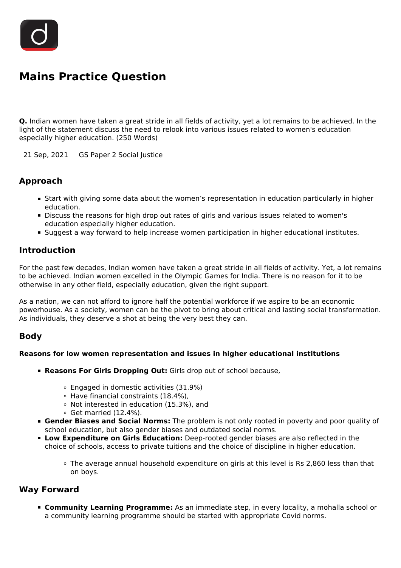

# **Mains Practice Question**

**Q.** Indian women have taken a great stride in all fields of activity, yet a lot remains to be achieved. In the light of the statement discuss the need to relook into various issues related to women's education especially higher education. (250 Words)

21 Sep, 2021 GS Paper 2 Social Justice

# **Approach**

- Start with giving some data about the women's representation in education particularly in higher education.
- Discuss the reasons for high drop out rates of girls and various issues related to women's education especially higher education.
- Suggest a way forward to help increase women participation in higher educational institutes.

### **Introduction**

For the past few decades, Indian women have taken a great stride in all fields of activity. Yet, a lot remains to be achieved. Indian women excelled in the Olympic Games for India. There is no reason for it to be otherwise in any other field, especially education, given the right support.

As a nation, we can not afford to ignore half the potential workforce if we aspire to be an economic powerhouse. As a society, women can be the pivot to bring about critical and lasting social transformation. As individuals, they deserve a shot at being the very best they can.

### **Body**

#### **Reasons for low women representation and issues in higher educational institutions**

- **Reasons For Girls Dropping Out:** Girls drop out of school because,
	- Engaged in domestic activities (31.9%)
	- Have financial constraints (18.4%),
	- Not interested in education (15.3%), and
	- $\circ$  Get married (12.4%).
- **Gender Biases and Social Norms:** The problem is not only rooted in poverty and poor quality of school education, but also gender biases and outdated social norms.
- **Low Expenditure on Girls Education:** Deep-rooted gender biases are also reflected in the choice of schools, access to private tuitions and the choice of discipline in higher education.
	- The average annual household expenditure on girls at this level is Rs 2,860 less than that on boys.

### **Way Forward**

**Community Learning Programme:** As an immediate step, in every locality, a mohalla school or a community learning programme should be started with appropriate Covid norms.